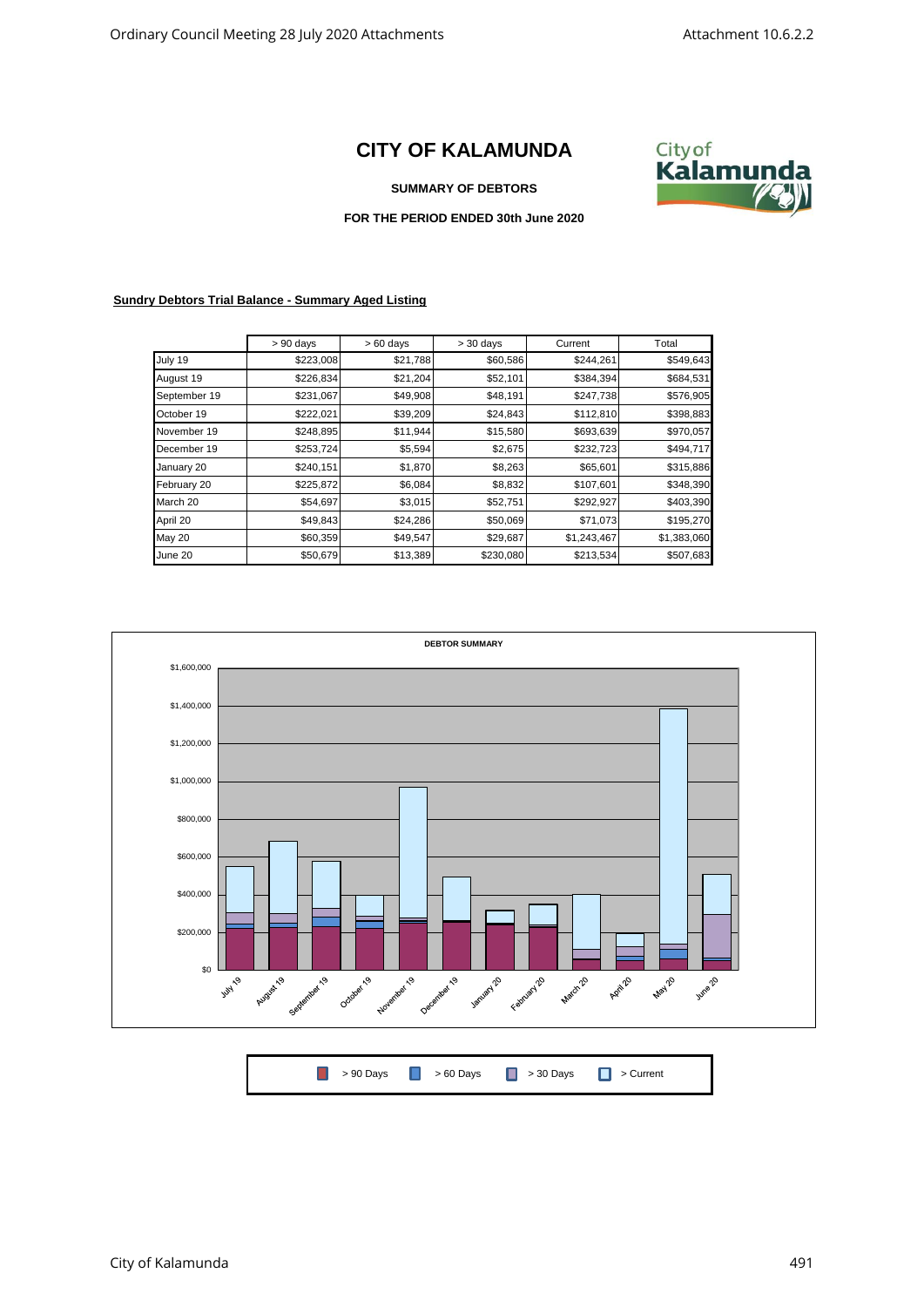## **CITY OF KALAMUNDA**



## **SUMMARY OF DEBTORS**

## **FOR THE PERIOD ENDED 30th June 2020**

## **Sundry Debtors Trial Balance - Summary Aged Listing**

|              | $> 90$ days | $>60$ days | $> 30$ days | Current     | Total       |
|--------------|-------------|------------|-------------|-------------|-------------|
| July 19      | \$223,008   | \$21,788   | \$60,586    | \$244,261   | \$549,643   |
| August 19    | \$226,834   | \$21,204   | \$52,101    | \$384,394   | \$684,531   |
| September 19 | \$231,067   | \$49,908   | \$48,191    | \$247,738   | \$576,905   |
| October 19   | \$222,021   | \$39,209   | \$24,843    | \$112,810   | \$398,883   |
| November 19  | \$248,895   | \$11,944   | \$15,580    | \$693,639   | \$970,057   |
| December 19  | \$253,724   | \$5,594    | \$2,675     | \$232,723   | \$494,717   |
| January 20   | \$240,151   | \$1,870    | \$8,263     | \$65,601    | \$315,886   |
| February 20  | \$225,872   | \$6,084    | \$8,832     | \$107,601   | \$348,390   |
| March 20     | \$54,697    | \$3,015    | \$52,751    | \$292,927   | \$403,390   |
| April 20     | \$49,843    | \$24,286   | \$50,069    | \$71,073    | \$195,270   |
| May 20       | \$60,359    | \$49,547   | \$29,687    | \$1,243,467 | \$1,383,060 |
| June 20      | \$50,679    | \$13,389   | \$230,080   | \$213,534   | \$507,683   |



|  | ■ > 90 Days ■ > 60 Days ■ > 30 Days ■ > Current |  |
|--|-------------------------------------------------|--|
|  |                                                 |  |